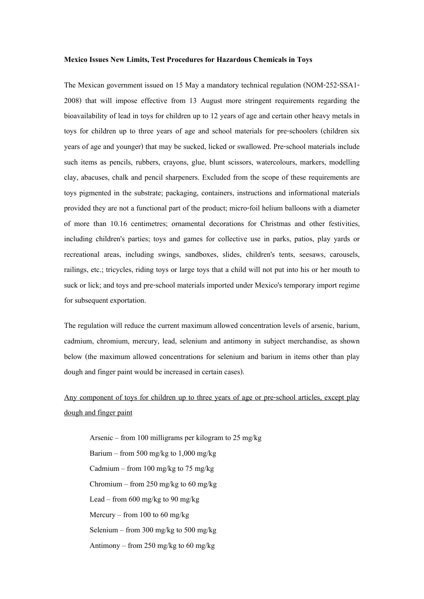## **Mexico Issues New Limits, Test Procedures for Hazardous Chemicals in Toys**

The Mexican government issued on 15 May a mandatory technical regulation (NOM-252-SSA1- 2008) that will impose effective from 13 August more stringent requirements regarding the bioavailability of lead in toys for children up to 12 years of age and certain other heavy metals in toys for children up to three years of age and school materials for pre-schoolers (children six years of age and younger) that may be sucked, licked or swallowed. Pre-school materials include such items as pencils, rubbers, crayons, glue, blunt scissors, watercolours, markers, modelling clay, abacuses, chalk and pencil sharpeners. Excluded from the scope of these requirements are toys pigmented in the substrate; packaging, containers, instructions and informational materials provided they are not a functional part of the product; micro-foil helium balloons with a diameter of more than 10.16 centimetres; ornamental decorations for Christmas and other festivities, including children's parties; toys and games for collective use in parks, patios, play yards or recreational areas, including swings, sandboxes, slides, children's tents, seesaws, carousels, railings, etc.; tricycles, riding toys or large toys that a child will not put into his or her mouth to suck or lick; and toys and pre-school materials imported under Mexico's temporary import regime for subsequent exportation.

The regulation will reduce the current maximum allowed concentration levels of arsenic, barium, cadmium, chromium, mercury, lead, selenium and antimony in subject merchandise, as shown below (the maximum allowed concentrations for selenium and barium in items other than play dough and finger paint would be increased in certain cases).

Any component of toys for children up to three years of age or pre-school articles, except play dough and finger paint

Arsenic – from 100 milligrams per kilogram to 25 mg/kg Barium – from 500 mg/kg to 1,000 mg/kg Cadmium – from 100 mg/kg to 75 mg/kg Chromium – from 250 mg/kg to 60 mg/kg Lead – from 600 mg/kg to 90 mg/kg Mercury – from 100 to 60 mg/kg Selenium – from 300 mg/kg to 500 mg/kg Antimony – from 250 mg/kg to 60 mg/kg